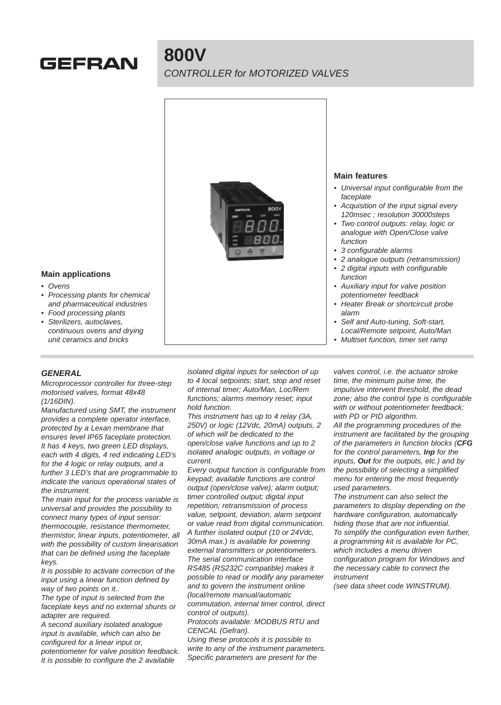# GEFRAN

## **800V** CONTROLLER for MOTORIZED VALVES



- Self and Auto-tuning, Soft-start, Local/Remote setpoint, Auto/Man
- Multiset function, timer set ramp

#### **Main applications**

- **Ovens**
- Processing plants for chemical and pharmaceutical industries
- Food processing plants
- Sterilizers, autoclaves, continuous ovens and drying unit ceramics and bricks

#### **GENERAL**

Microprocessor controller for three-step motorised valves, format 48x48 (1/16DIN).

Manufactured using SMT, the instrument provides a complete operator interface, protected by a Lexan membrane that ensures level IP65 faceplate protection. It has 4 keys, two green LED displays, each with 4 digits, 4 red indicating LED's for the 4 logic or relay outputs, and a further 3 LED's that are programmable to indicate the various operational states of the instrument.

The main input for the process variable is universal and provides the possibility to connect many types of input sensor: thermocouple, resistance thermometer, thermistor, linear inputs, potentiometer, all with the possibility of custom linearisation that can be defined using the faceplate keys.

It is possible to activate correction of the input using a linear function defined by way of two points on it..

The type of input is selected from the faceplate keys and no external shunts or adapter are required.

A second auxiliary isolated analogue input is available, which can also be configured for a linear input or, potentiometer for valve position feedback. It is possible to configure the 2 available

isolated digital inputs for selection of up to 4 local setpoints; start, stop and reset of internal timer; Auto/Man, Loc/Rem functions; alarms memory reset; input hold function.

This instrument has up to 4 relay (3A, 250V) or logic (12Vdc, 20mA) outputs, 2 of which will be dedicated to the open/close valve functions and up to 2 isolated analogic outputs, in voltage or current.

Every output function is configurable from keypad; available functions are control output (open/close valve); alarm output; timer controlled output; digital input repetition; retransmission of process value, setpoint, deviation, alarm setpoint or value read from digital communication. A further isolated output (10 or 24Vdc, 30mA max.) is available for powering external transmitters or potentiometers. The serial communication interface RS485 (RS232C compatible) makes it possible to read or modify any parameter and to govern the instrument online (local/remote manual/automatic commutation, internal timer control, direct

control of outputs). Protocols available: MODBUS RTU and CENCAL (Gefran).

Using these protocols it is possible to write to any of the instrument parameters. Specific parameters are present for the

valves control, i.e. the actuator stroke time, the minimum pulse time, the impulsive intervent threshold, the dead zone; also the control type is configurable with or without potentiometer feedback; with PD or PID algorithm.

All the programming procedures of the instrument are facilitated by the grouping of the parameters in function blocks (**CFG** for the control parameters, **Inp** for the inputs, **Out** for the outputs, etc.) and by the possibility of selecting a simplified menu for entering the most frequently used parameters.

The instrument can also select the parameters to display depending on the hardware configuration, automatically hiding those that are not influential. To simplify the configuration even further, a programming kit is available for PC, which includes a menu driven configuration program for Windows and the necessary cable to connect the instrument

(see data sheet code WINSTRUM).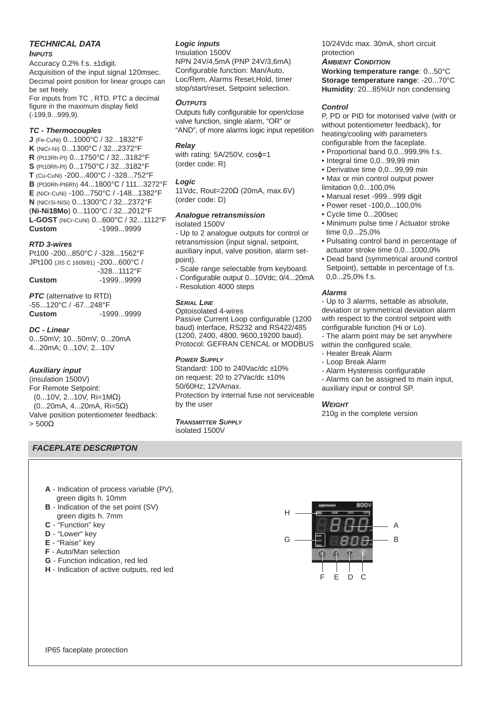#### **TECHNICAL DATA**

#### **INPUTS**

Accuracy 0,2% f.s. ±1digit. Acquisition of the input signal 120msec. Decimal point position for linear groups can be set freely. For inputs from TC , RTD, PTC a decimal

figure in the maximum display field (-199,9...999,9).

#### **TC - Thermocouples**

**J** (Fe-CuNi) 0...1000°C / 32...1832°F **K** (NiCr-Ni) 0...1300°C / 32...2372°F **R** (Pt13Rh-Pt) 0...1750°C / 32...3182°F **S** (Pt10Rh-Pt) 0...1750°C / 32...3182°F **T** (Cu-CuNi) -200...400°C / -328...752°F **B** (Pt30Rh-Pt6Rh) 44...1800°C / 111...3272°F **E** (NiCr-CuNi) -100...750°C / -148...1382°F **N** (NiCrSi-NiSi) 0...1300°C / 32...2372°F (**Ni-Ni18Mo**) 0...1100°C / 32...2012°F **L-GOST** (NiCr-CuNi) 0...600°C / 32...1112°F **Custom** -1999...9999

#### **RTD 3-wires**

Pt100 -200...850°C / -328...1562°F JPt100 (JIS C 1609/81) -200...600°C / -328...1112°F **Custom** -1999...9999

**PTC** (alternative to RTD) -55...120°C / -67...248°F **Custom** -1999...9999

#### **DC - Linear**

0...50mV; 10...50mV; 0...20mA 4...20mA; 0...10V; 2...10V

#### **Auxiliary input**

(insulation 1500V) For Remote Setpoint: (0...10V, 2...10V, Ri=1MΩ) (0...20mA, 4...20mA, Ri=5Ω) Valve position potentiometer feedback:  $> 500\Omega$ 

#### **FACEPLATE DESCRIPTON**

#### **Logic inputs**

Insulation 1500V NPN 24V/4,5mA (PNP 24V/3,6mA) Configurable function: Man/Auto, Loc/Rem, Alarms Reset,Hold, timer stop/start/reset, Setpoint selection.

#### **OUTPUTS**

Outputs fully configurable for open/close valve function, single alarm, "OR" or "AND", of more alarms logic input repetition

#### **Relay**

with rating: 5A/250V, cosφ=1 (order code: R)

#### **Logic**

11Vdc, Rout=220Ω (20mA, max.6V) (order code: D)

#### **Analogue retransmission**

isolated 1500V

- Up to 2 analogue outputs for control or retransmission (input signal, setpoint, auxiliary input, valve position, alarm setpoint).

- Scale range selectable from keyboard.
- Configurable output 0...10Vdc; 0/4...20mA
- Resolution 4000 steps

#### **SERIAL LINE**

Optoisolated 4-wires Passive Current Loop configurable (1200 baud) interface, RS232 and RS422/485 (1200, 2400, 4800, 9600,19200 baud). Protocol: GEFRAN CENCAL or MODBUS

#### **POWER SUPPLY**

Standard: 100 to 240Vac/dc ±10% on request: 20 to 27Vac/dc ±10% 50/60Hz; 12VAmax. Protection by internal fuse not serviceable by the user

#### **TRANSMITTER SUPPLY**

isolated 1500V

10/24Vdc max. 30mA, short circuit protection

#### **AMBIENT CONDITION**

**Working temperature range**: 0...50°C **Storage temperature range**: -20...70°C **Humidity**: 20...85%Ur non condensing

#### **Control**

P, PD or PID for motorised valve (with or without potentiometer feedback), for heating/cooling with parameters configurable from the faceplate.

- Proportional band 0,0...999,9% f.s.
- Integral time 0,0...99,99 min
- Derivative time 0,0...99,99 min
- Max or min control output power
- limitation 0,0...100,0%
- Manual reset -999...999 digit
- Power reset -100,0...100,0%
- Cycle time 0...200sec
- Minimum pulse time / Actuator stroke time 0,0...25,0%
- Pulsating control band in percentage of actuator stroke time 0,0...1000,0%
- Dead band (symmetrical around control Setpoint), settable in percentage of f.s. 0,0...25,0% f.s.

#### **Alarms**

- Up to 3 alarms, settable as absolute, deviation or symmetrical deviation alarm with respect to the control setpoint with configurable function (Hi or Lo).

- The alarm point may be set anywhere within the configured scale.

- Heater Break Alarm
- Loop Break Alarm
- Alarm Hysteresis configurable
- Alarms can be assigned to main input, auxiliary input or control SP.

**WEIGHT** 

210g in the complete version

- **A** Indication of process variable (PV), green digits h. 10mm
- **B** Indication of the set point (SV) green digits h. 7mm
- **C** "Function" key
- **D** "Lower" key
- **E** "Raise" key
- **F** Auto/Man selection
- **G** Function indication, red led
- **H** Indication of active outputs, red led

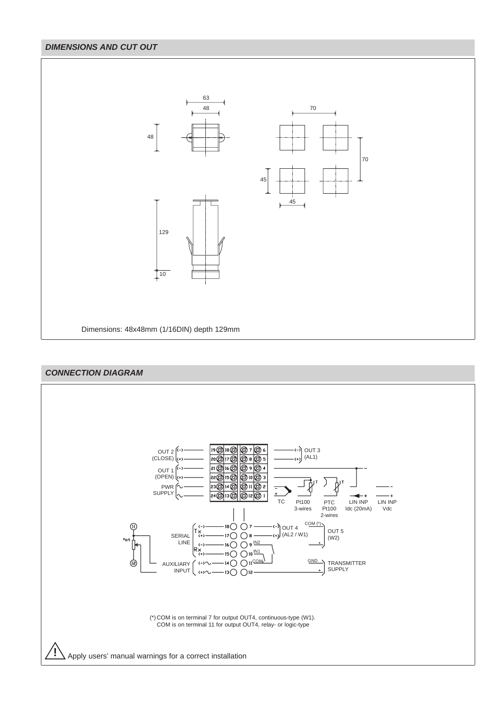#### **DIMENSIONS AND CUT OUT**



### **CONNECTION DIAGRAM**